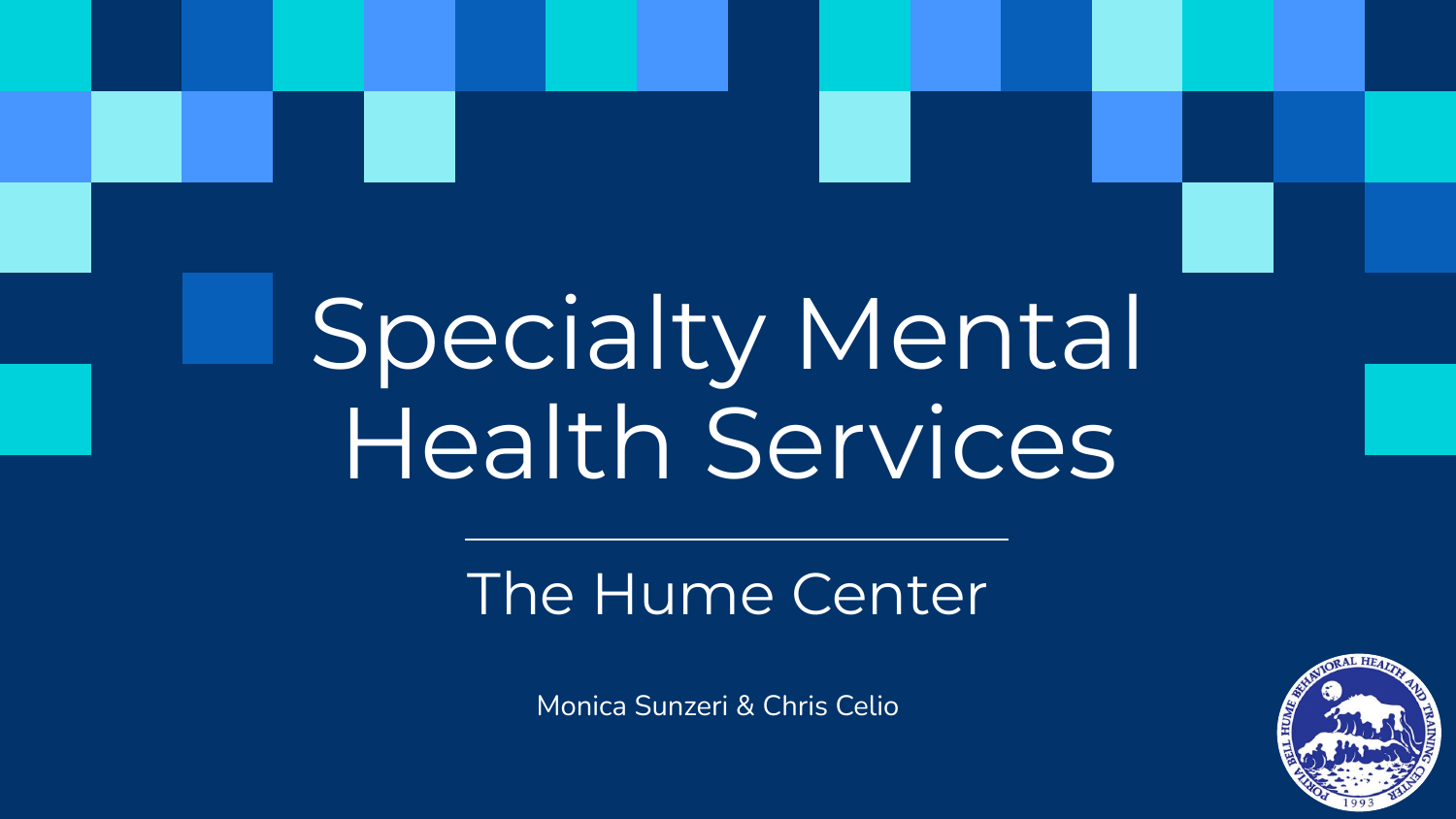# Specialty Mental Health Services

## The Hume Center

Monica Sunzeri & Chris Celio

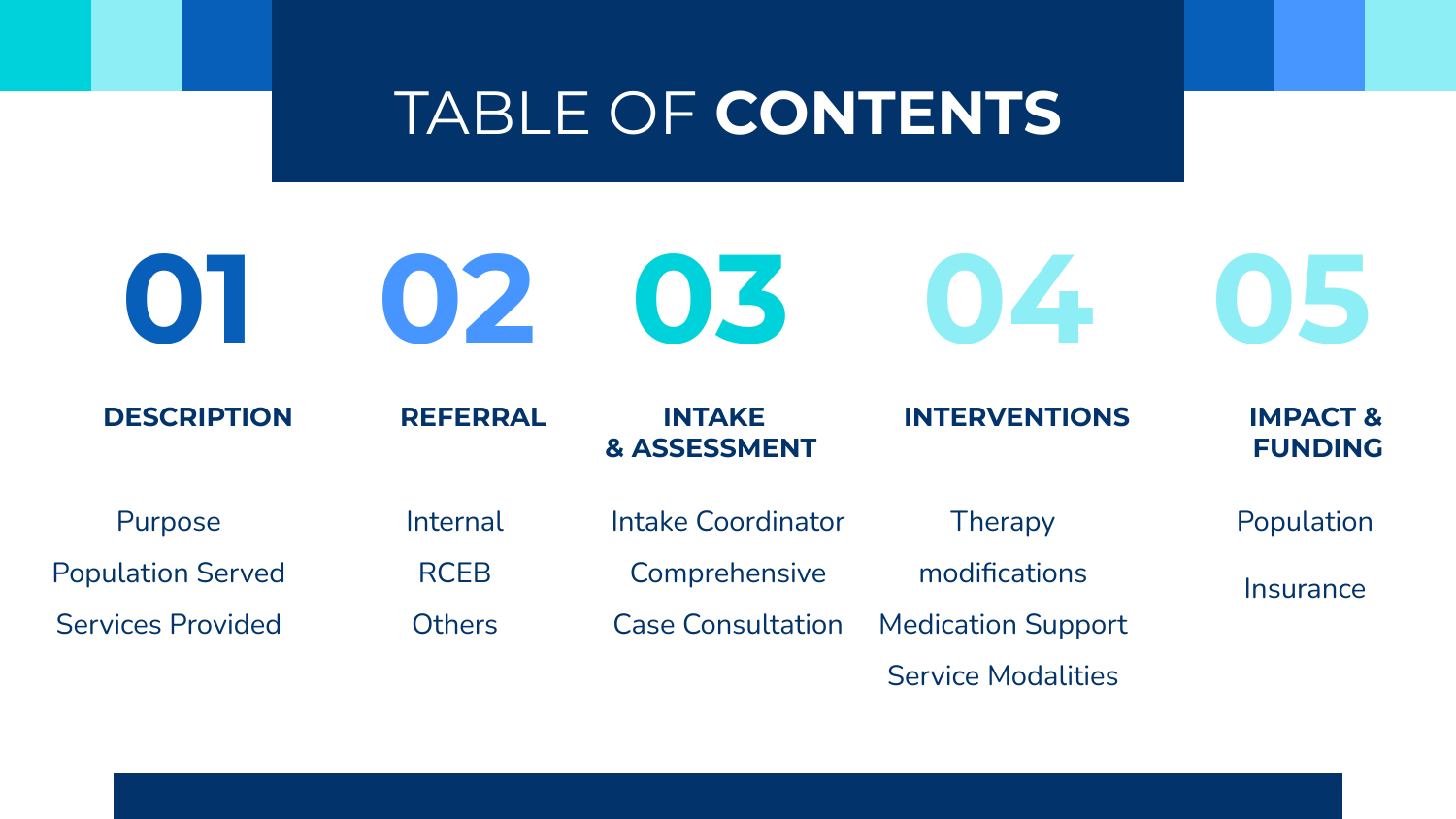## TABLE OF **CONTENTS**

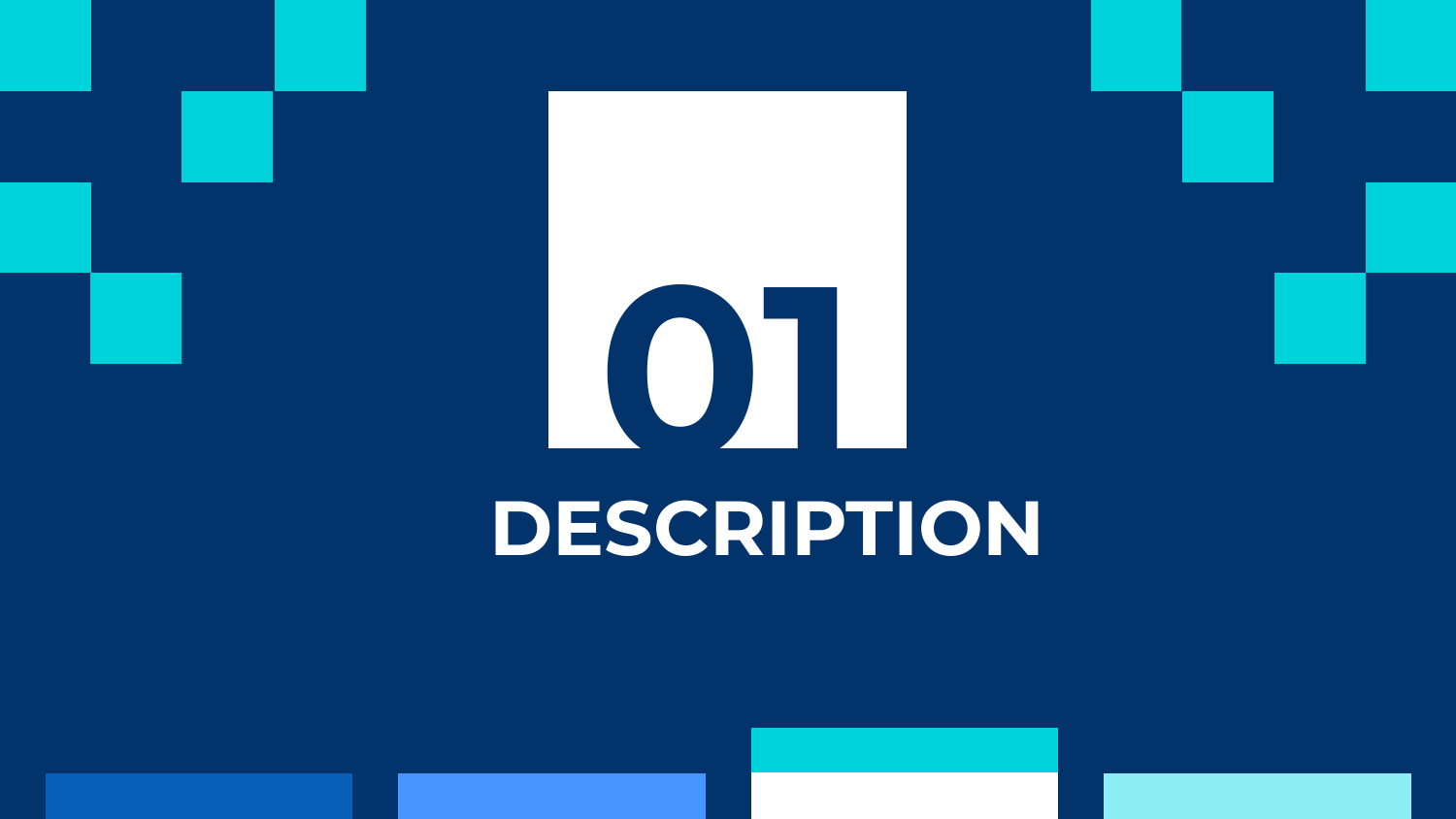# **01 DESCRIPTION**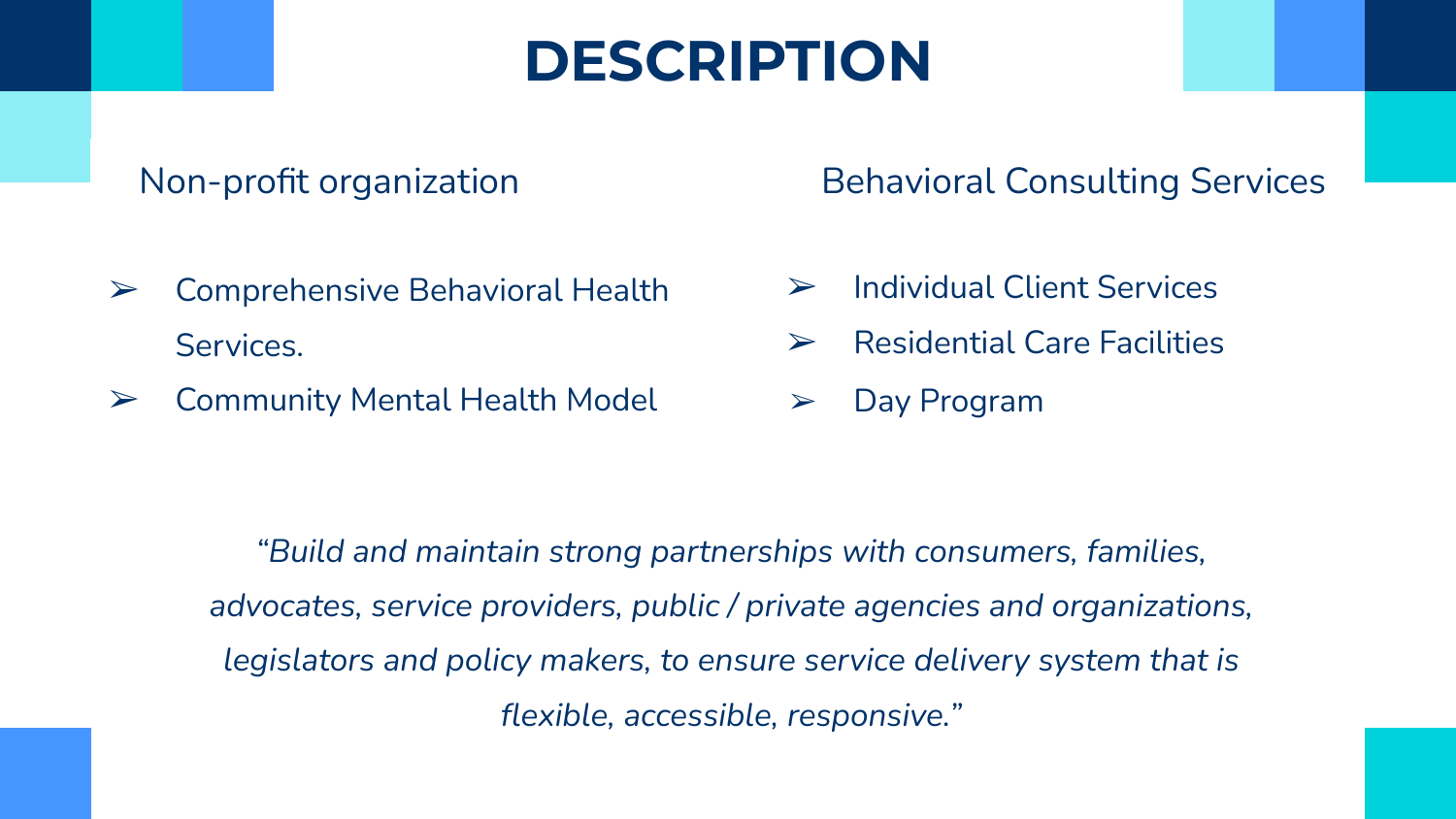## **DESCRIPTION**

### Non-profit organization

- $\triangleright$  Comprehensive Behavioral Health Services.
- $\triangleright$  Community Mental Health Model

Behavioral Consulting Services

- ➢ Individual Client Services
- $\triangleright$  Residential Care Facilities

Day Program

*"Build and maintain strong partnerships with consumers, families, advocates, service providers, public / private agencies and organizations, legislators and policy makers, to ensure service delivery system that is flexible, accessible, responsive."*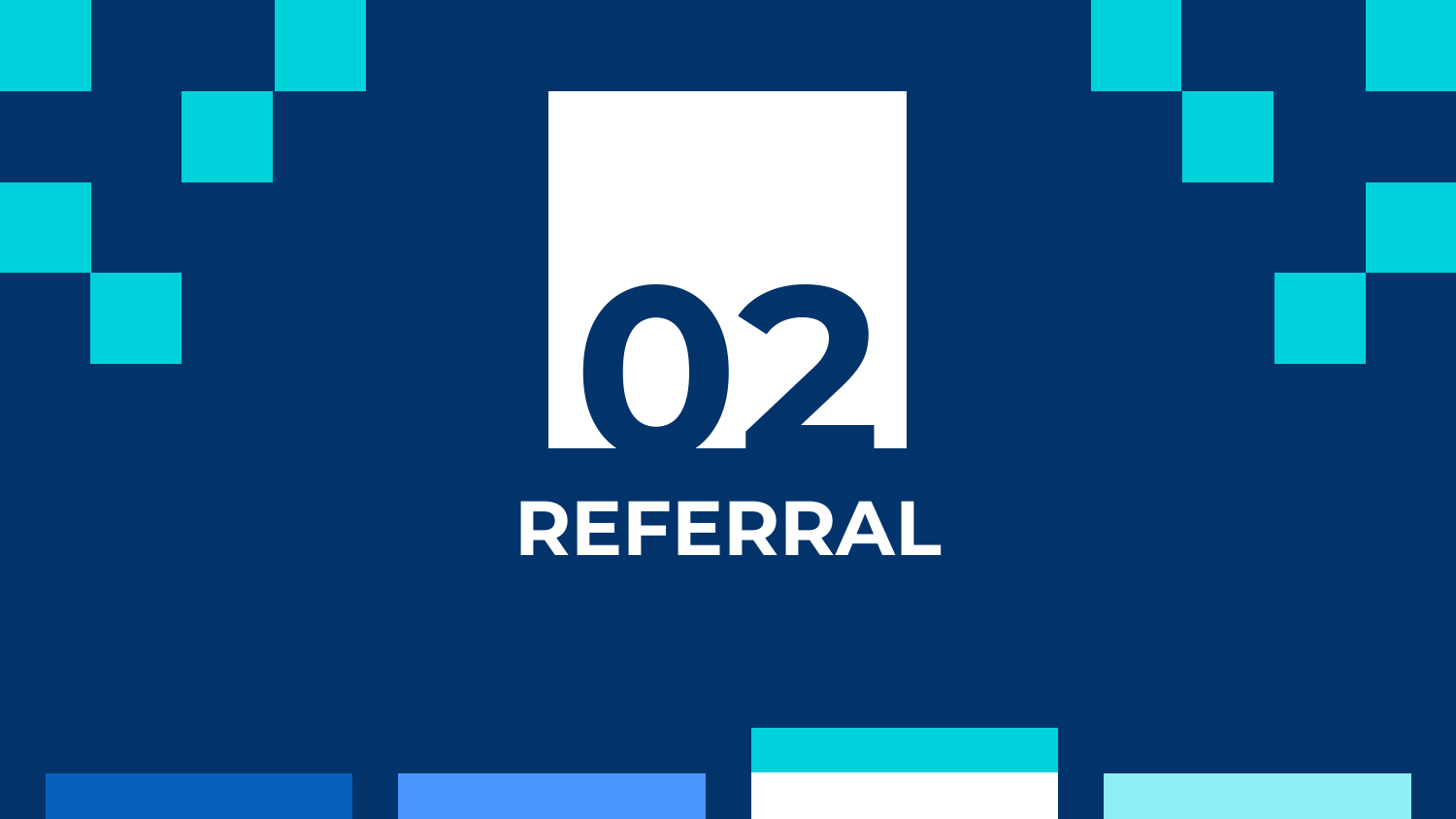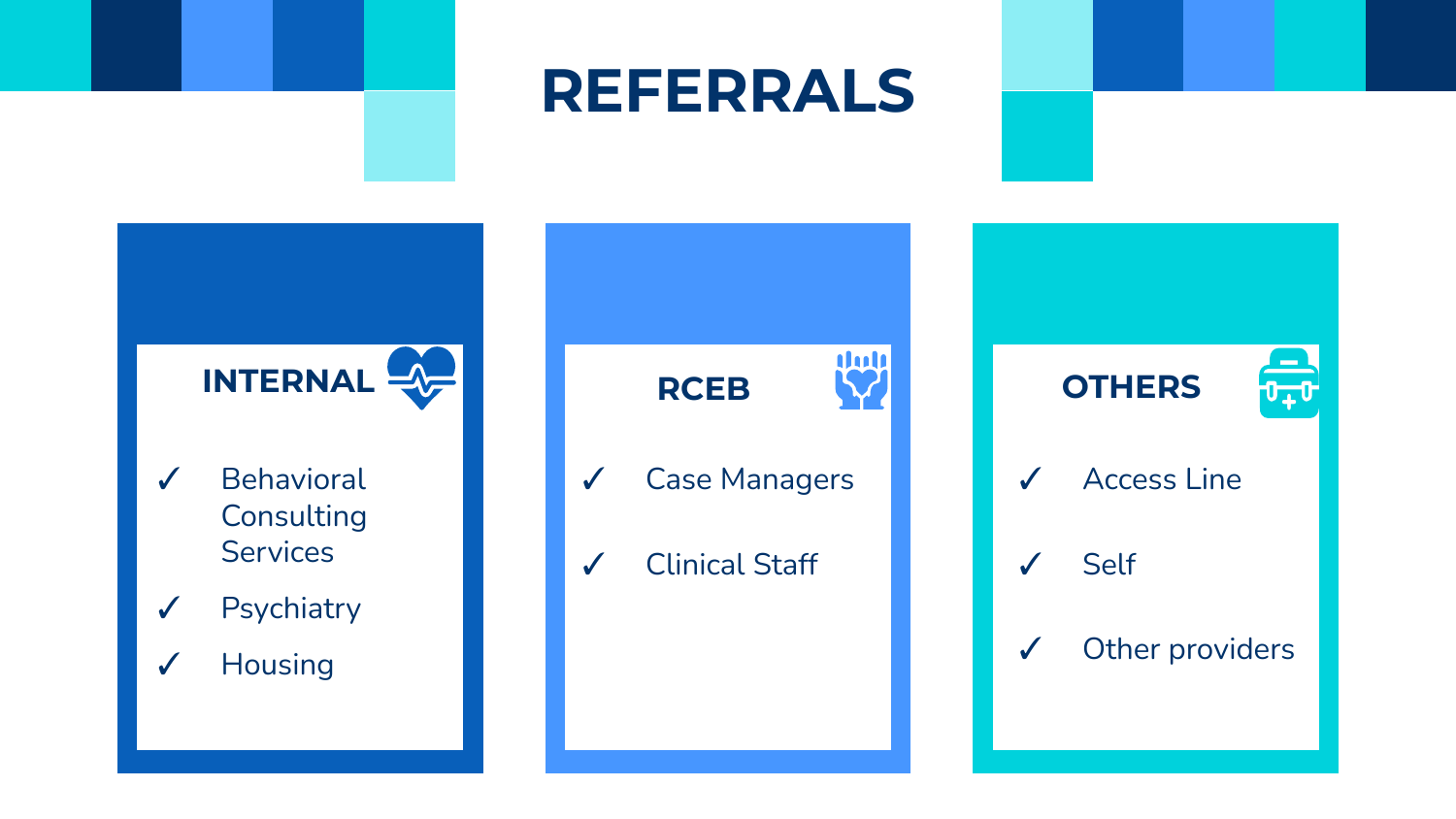## **REFERRALS**

 $\overline{v_{+}v}$ 

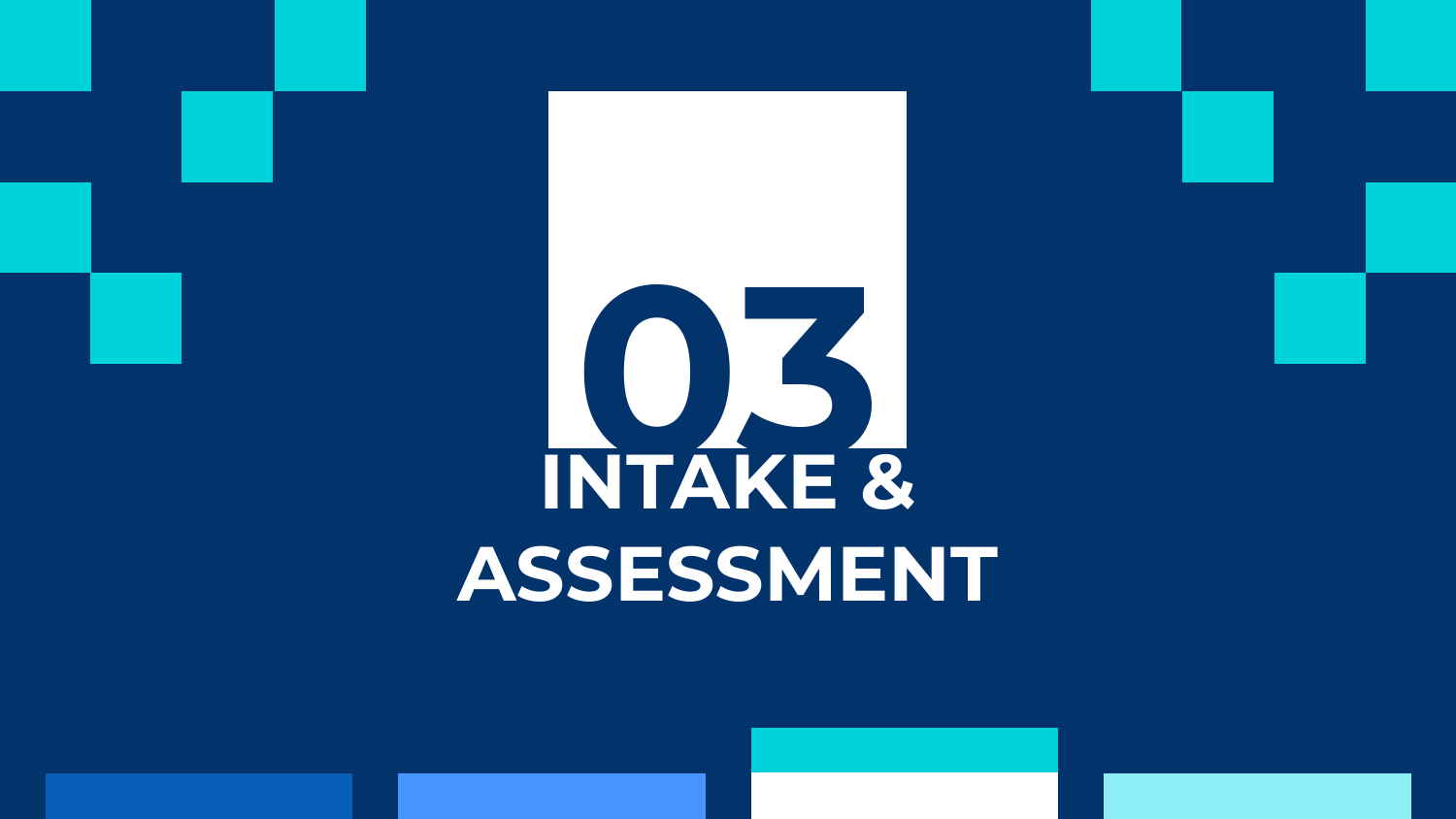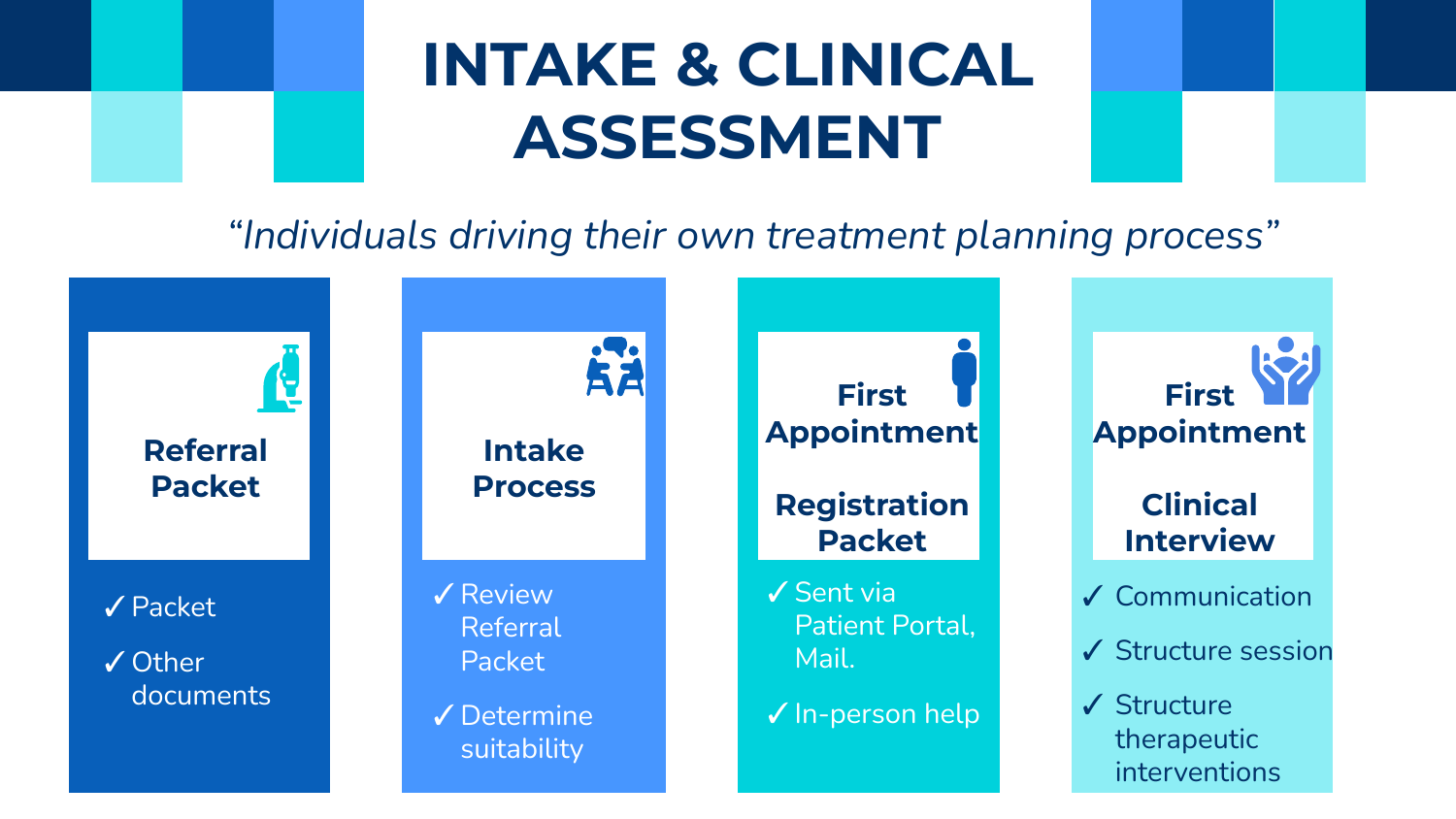## **INTAKE & CLINICAL ASSESSMENT**

*"Individuals driving their own treatment planning process"*

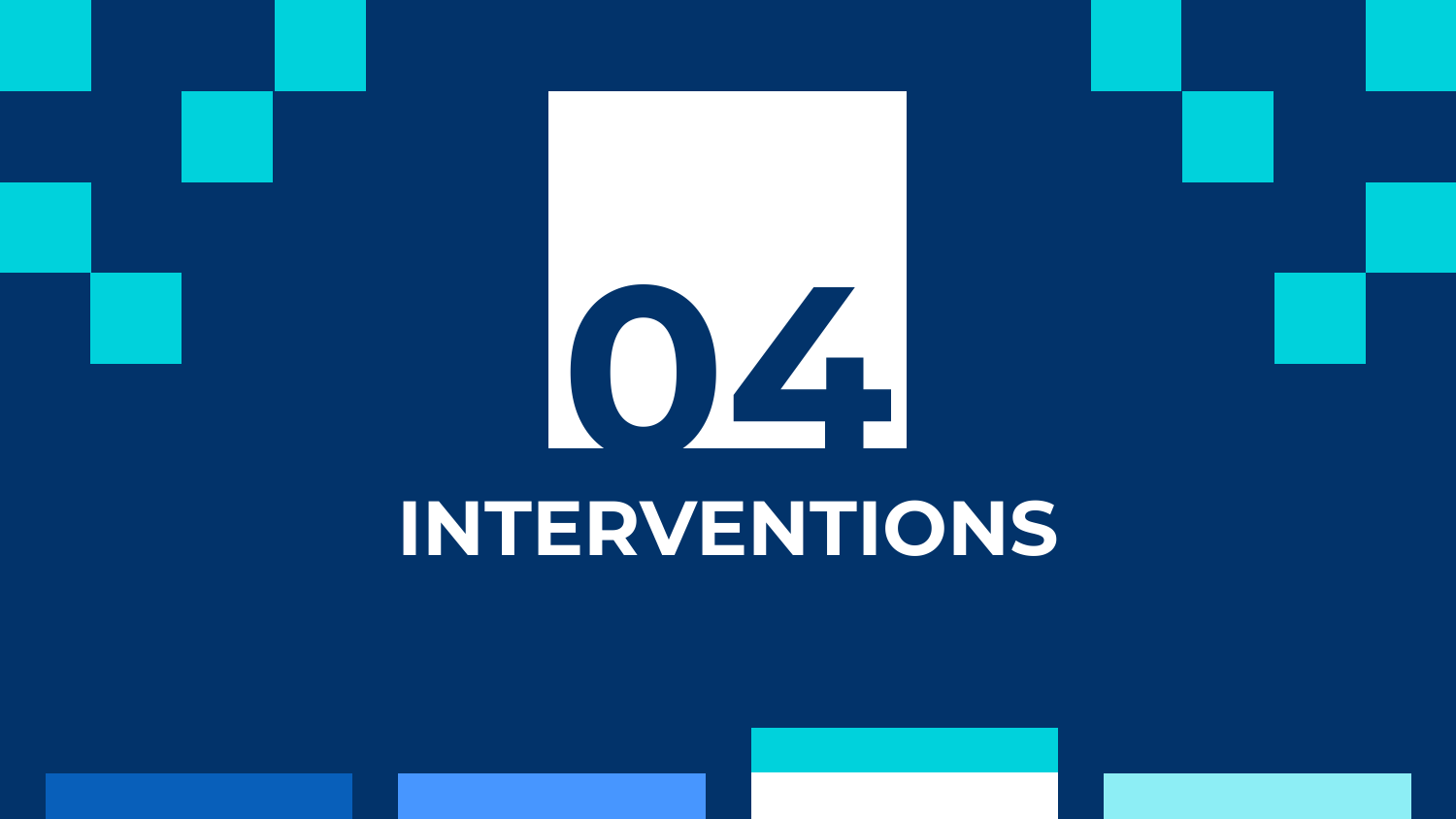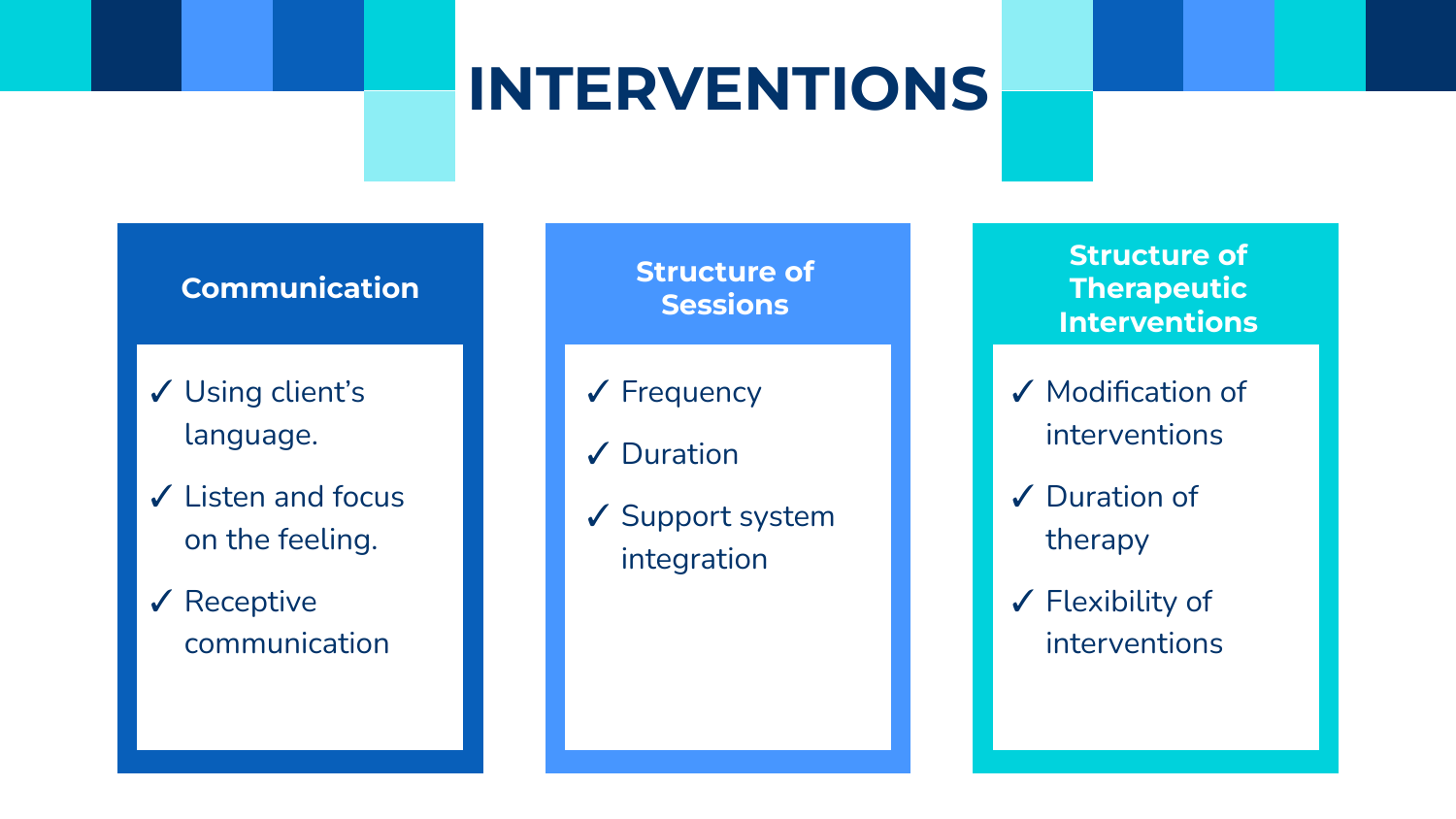## **INTERVENTIONS**

### **Communication**

- ✓ Using client's language.
- ✓ Listen and focus on the feeling.

### ✓ Receptive communication

### **Structure of Sessions**

- ✓ Frequency
- ✓ Duration
- ✓ Support system integration

**Structure of Therapeutic Interventions**

- ✓ Modification of interventions
- ✓ Duration of therapy
- ✓ Flexibility of interventions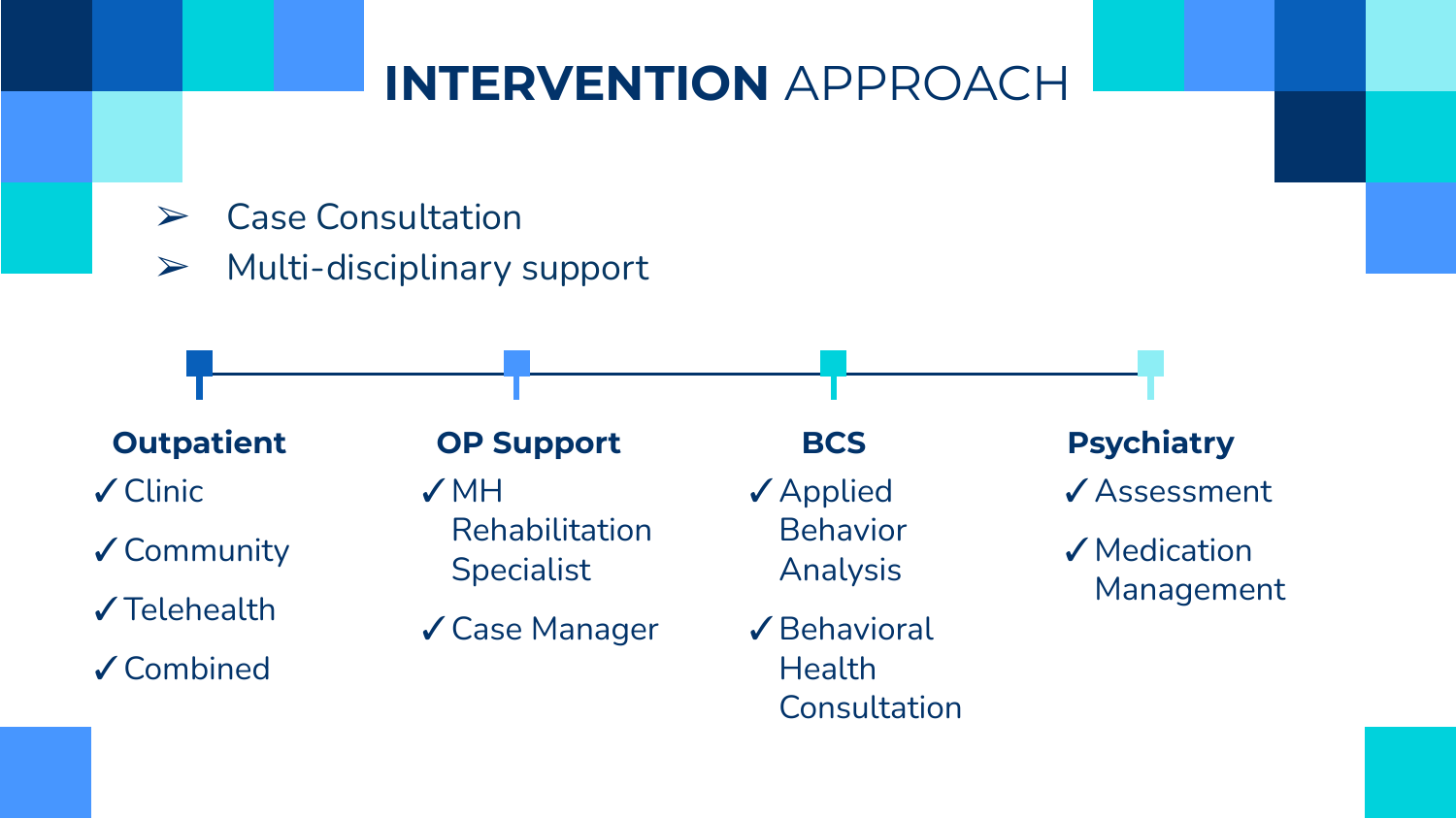## **INTERVENTION** APPROACH

- ➢ Case Consultation
- $\triangleright$  Multi-disciplinary support



✓Clinic

✓Community

✓Telehealth

✓Combined

✓MH Rehabilitation **Specialist** 

✓Case Manager

✓Applied Behavior Analysis

✓Behavioral **Health** Consultation

✓Assessment

✓Medication Management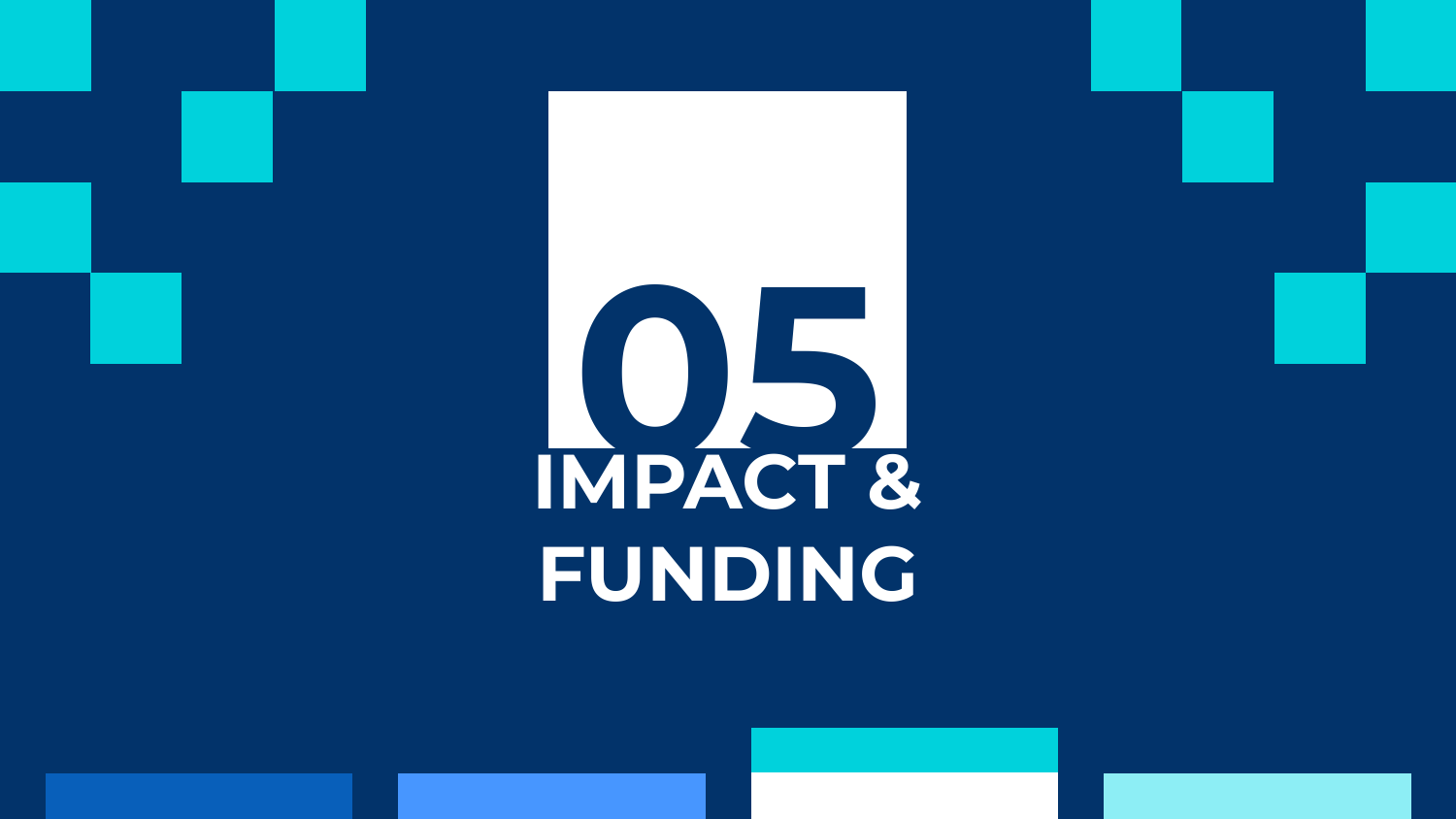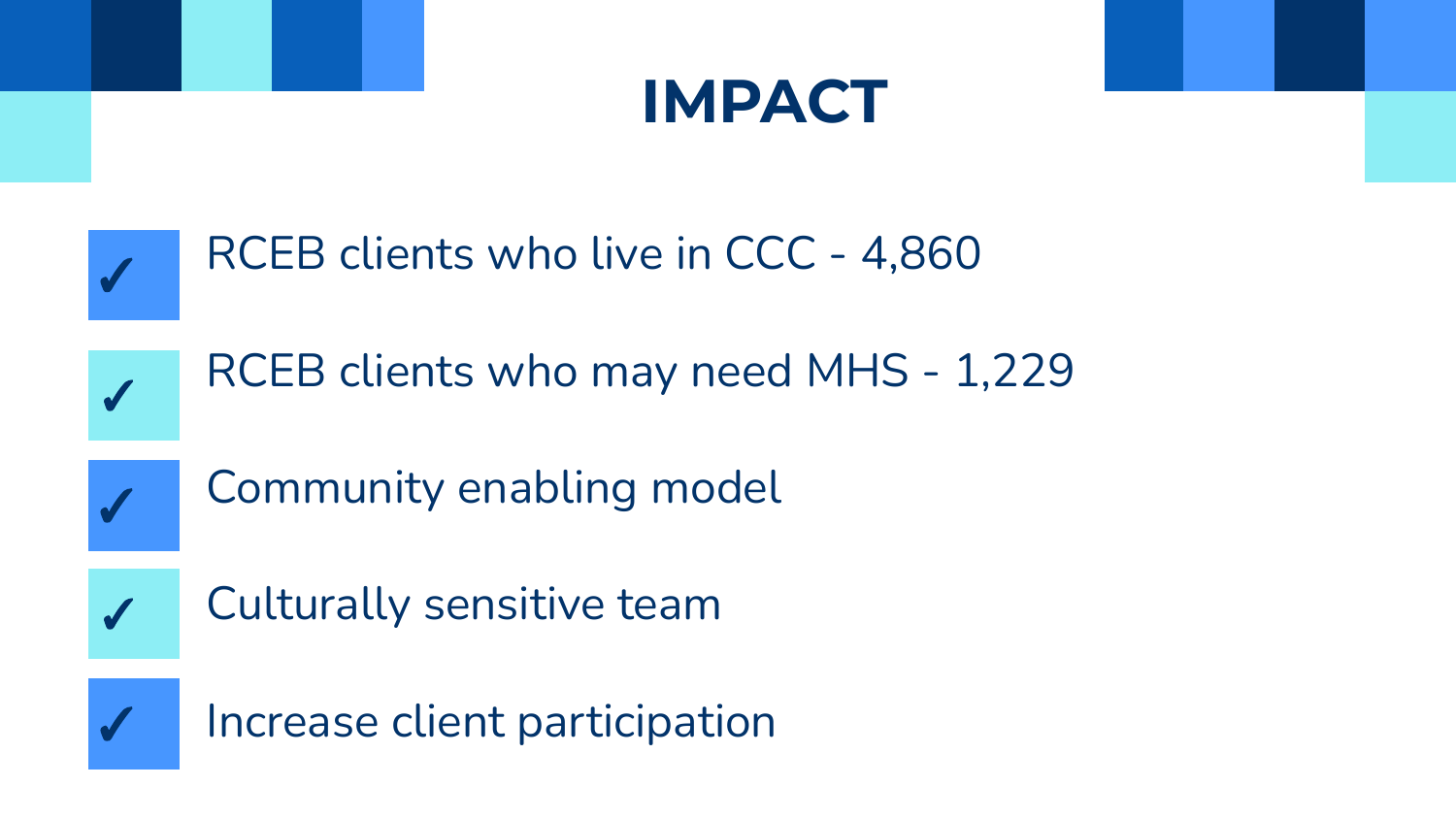

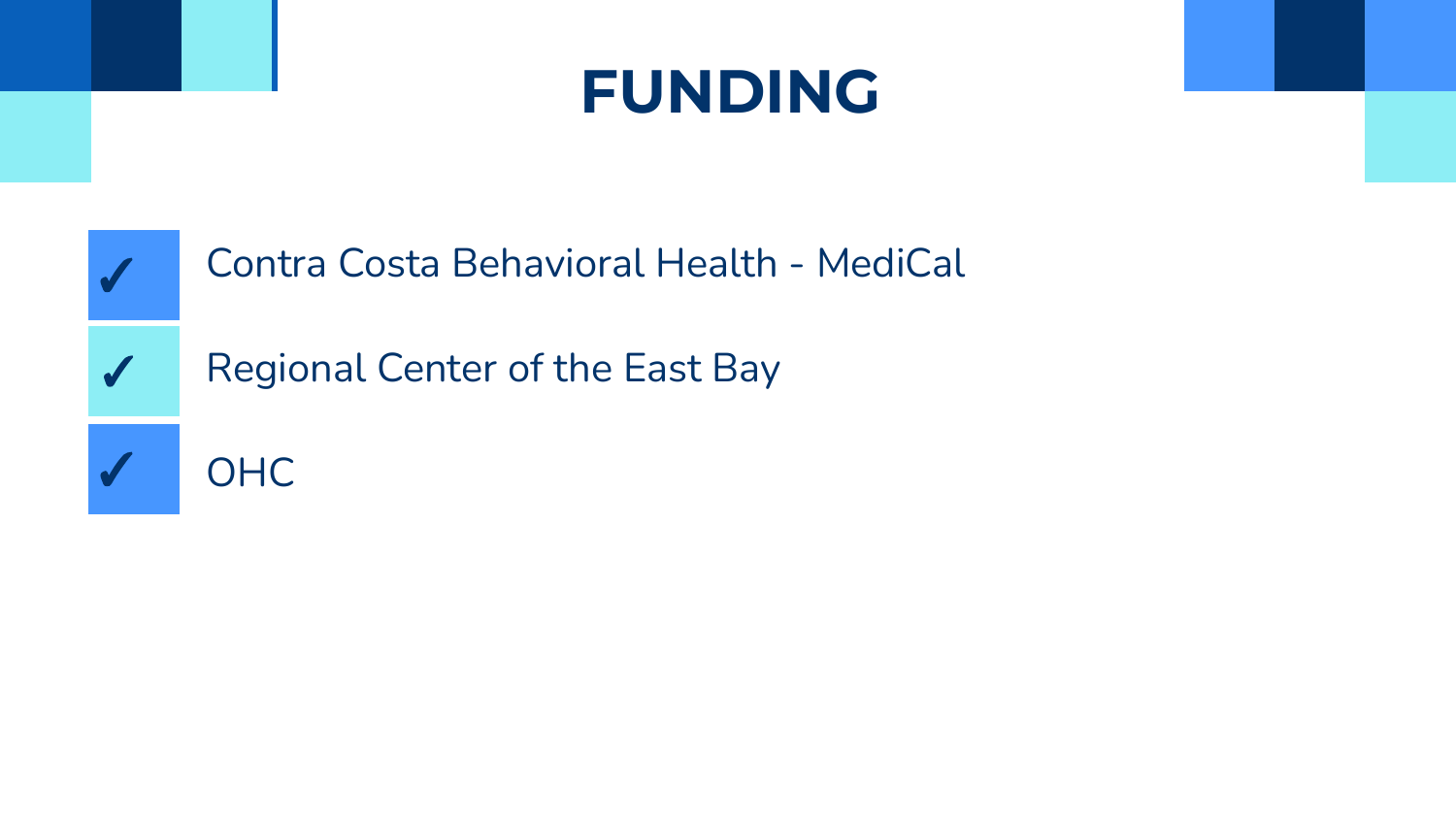## **FUNDING**